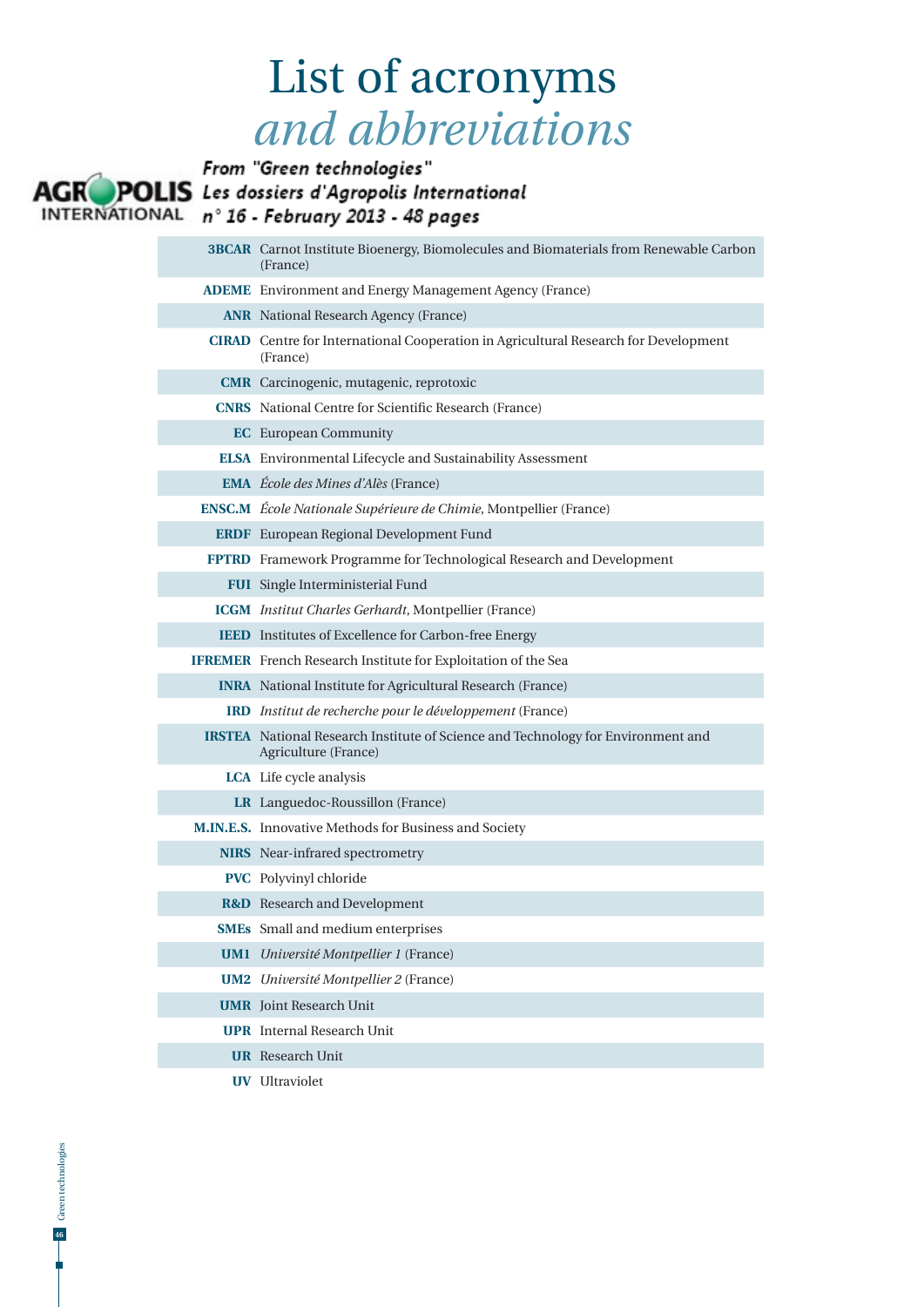## List of acronyms *and abbreviations*



| <b>3BCAR</b> Carnot Institute Bioenergy, Biomolecules and Biomaterials from Renewable Carbon<br>(France) |
|----------------------------------------------------------------------------------------------------------|
| <b>ADEME</b> Environment and Energy Management Agency (France)                                           |
| <b>ANR</b> National Research Agency (France)                                                             |
| <b>CIRAD</b> Centre for International Cooperation in Agricultural Research for Development<br>(France)   |
| <b>CMR</b> Carcinogenic, mutagenic, reprotoxic                                                           |
| <b>CNRS</b> National Centre for Scientific Research (France)                                             |
| <b>EC</b> European Community                                                                             |
| <b>ELSA</b> Environmental Lifecycle and Sustainability Assessment                                        |
| <b>EMA</b> <i>École des Mines d'Alès</i> (France)                                                        |
| <b>ENSC.M</b> École Nationale Supérieure de Chimie, Montpellier (France)                                 |
| <b>ERDF</b> European Regional Development Fund                                                           |
| FPTRD Framework Programme for Technological Research and Development                                     |
| FUI Single Interministerial Fund                                                                         |
| <b>ICGM</b> Institut Charles Gerhardt, Montpellier (France)                                              |
| IEED Institutes of Excellence for Carbon-free Energy                                                     |
| <b>IFREMER</b> French Research Institute for Exploitation of the Sea                                     |
| <b>INRA</b> National Institute for Agricultural Research (France)                                        |
| <b>IRD</b> Institut de recherche pour le développement (France)                                          |
| IRSTEA National Research Institute of Science and Technology for Environment and<br>Agriculture (France) |
| LCA Life cycle analysis                                                                                  |
| LR Languedoc-Roussillon (France)                                                                         |
| M.IN.E.S. Innovative Methods for Business and Society                                                    |
| <b>NIRS</b> Near-infrared spectrometry                                                                   |
| <b>PVC</b> Polyvinyl chloride                                                                            |
| <b>R&amp;D</b> Research and Development                                                                  |
| <b>SMEs</b> Small and medium enterprises                                                                 |
| <b>UM1</b> Université Montpellier 1 (France)                                                             |
| <b>UM2</b> Université Montpellier 2 (France)                                                             |
| <b>UMR</b> Joint Research Unit                                                                           |
| <b>UPR</b> Internal Research Unit                                                                        |
| <b>UR</b> Research Unit                                                                                  |
| <b>UV</b> Ultraviolet                                                                                    |